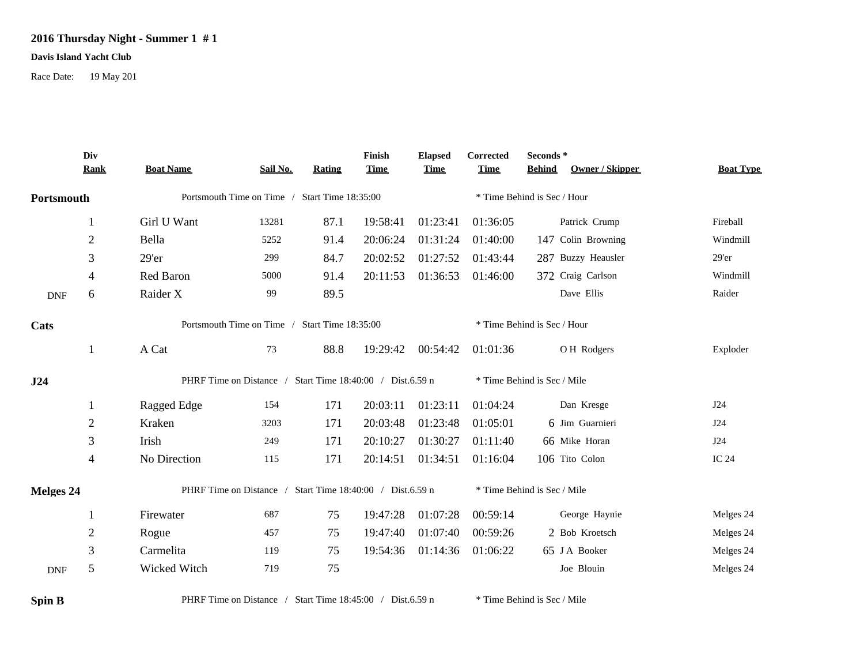## **2016 Thursday Night - Summer 1 # 1**

## **Davis Island Yacht Club**

Race Date: 19 May 201

|            | Div<br><b>Rank</b> | <b>Boat Name</b>                                          | Sail No. | Rating | Finish<br><b>Time</b> | <b>Elapsed</b><br><b>Time</b> | Corrected<br><b>Time</b> | Seconds *<br><b>Behind</b><br>Owner / Skipper | <b>Boat Type</b> |
|------------|--------------------|-----------------------------------------------------------|----------|--------|-----------------------|-------------------------------|--------------------------|-----------------------------------------------|------------------|
|            |                    |                                                           |          |        |                       |                               |                          |                                               |                  |
| Portsmouth |                    | Portsmouth Time on Time / Start Time 18:35:00             |          |        |                       | * Time Behind is Sec / Hour   |                          |                                               |                  |
|            | 1                  | Girl U Want                                               | 13281    | 87.1   | 19:58:41              | 01:23:41                      | 01:36:05                 | Patrick Crump                                 | Fireball         |
|            | $\overline{2}$     | Bella                                                     | 5252     | 91.4   | 20:06:24              | 01:31:24                      | 01:40:00                 | 147 Colin Browning                            | Windmill         |
|            | 3                  | $29'$ er                                                  | 299      | 84.7   | 20:02:52              | 01:27:52                      | 01:43:44                 | 287 Buzzy Heausler                            | 29'er            |
|            | 4                  | Red Baron                                                 | 5000     | 91.4   | 20:11:53              | 01:36:53                      | 01:46:00                 | 372 Craig Carlson                             | Windmill         |
| <b>DNF</b> | 6                  | Raider X                                                  | 99       | 89.5   |                       |                               |                          | Dave Ellis                                    | Raider           |
| Cats       |                    | Portsmouth Time on Time / Start Time 18:35:00             |          |        |                       |                               |                          | * Time Behind is Sec / Hour                   |                  |
|            | 1                  | A Cat                                                     | 73       | 88.8   | 19:29:42              | 00:54:42                      | 01:01:36                 | O H Rodgers                                   | Exploder         |
| J24        |                    | PHRF Time on Distance / Start Time 18:40:00 / Dist.6.59 n |          |        |                       |                               |                          | * Time Behind is Sec / Mile                   |                  |
|            | 1                  | Ragged Edge                                               | 154      | 171    | 20:03:11              | 01:23:11                      | 01:04:24                 | Dan Kresge                                    | J24              |
|            | $\mathfrak{2}$     | Kraken                                                    | 3203     | 171    | 20:03:48              | 01:23:48                      | 01:05:01                 | 6 Jim Guarnieri                               | J24              |
|            | 3                  | Irish                                                     | 249      | 171    | 20:10:27              | 01:30:27                      | 01:11:40                 | 66 Mike Horan                                 | J24              |
|            | 4                  | No Direction                                              | 115      | 171    | 20:14:51              | 01:34:51                      | 01:16:04                 | 106 Tito Colon                                | IC 24            |
| Melges 24  |                    | PHRF Time on Distance / Start Time 18:40:00 / Dist.6.59 n |          |        |                       |                               |                          | * Time Behind is Sec / Mile                   |                  |
|            | 1                  | Firewater                                                 | 687      | 75     | 19:47:28              | 01:07:28                      | 00:59:14                 | George Haynie                                 | Melges 24        |
|            | $\mathfrak{2}$     | Rogue                                                     | 457      | 75     | 19:47:40              | 01:07:40                      | 00:59:26                 | 2 Bob Kroetsch                                | Melges 24        |
|            | $\mathfrak{Z}$     | Carmelita                                                 | 119      | 75     | 19:54:36              | 01:14:36                      | 01:06:22                 | 65 J A Booker                                 | Melges 24        |
| <b>DNF</b> | 5                  | Wicked Witch                                              | 719      | 75     |                       |                               |                          | Joe Blouin                                    | Melges 24        |

**Spin B** PHRF Time on Distance / Start Time 18:45:00 / Dist.6.59 n \* Time Behind is Sec / Mile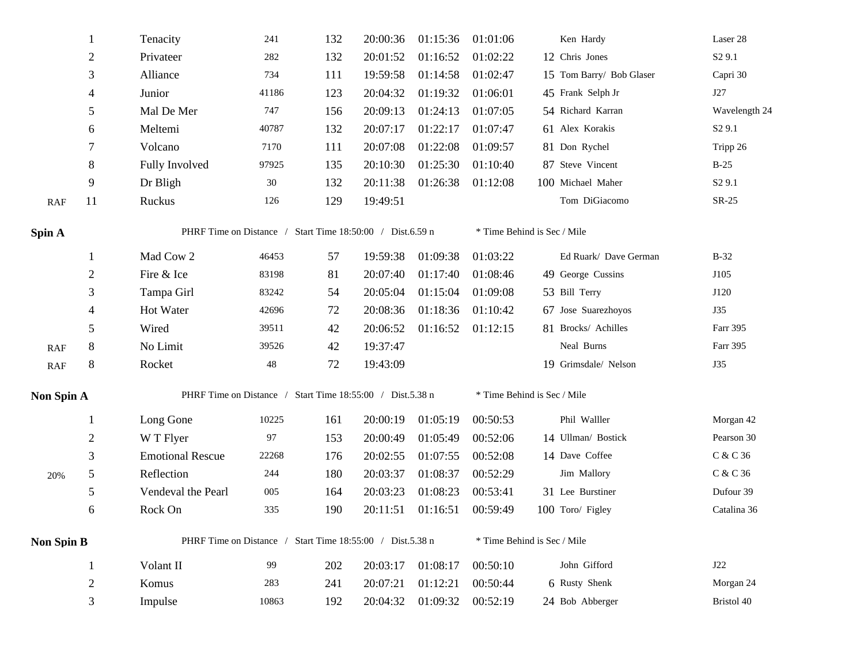| 1                 | Tenacity                                                  | 241   | 132 | 20:00:36 | 01:15:36 | 01:01:06                                                  | Ken Hardy                   | Laser 28                    |  |  |  |
|-------------------|-----------------------------------------------------------|-------|-----|----------|----------|-----------------------------------------------------------|-----------------------------|-----------------------------|--|--|--|
| $\sqrt{2}$        | Privateer                                                 | 282   | 132 | 20:01:52 | 01:16:52 | 01:02:22                                                  | 12 Chris Jones              | S <sub>2</sub> 9.1          |  |  |  |
| 3                 | Alliance                                                  | 734   | 111 | 19:59:58 | 01:14:58 | 01:02:47                                                  | 15 Tom Barry/ Bob Glaser    | Capri 30                    |  |  |  |
| 4                 | Junior                                                    | 41186 | 123 | 20:04:32 | 01:19:32 | 01:06:01                                                  | 45 Frank Selph Jr           | J27                         |  |  |  |
| 5                 | Mal De Mer                                                | 747   | 156 | 20:09:13 | 01:24:13 | 01:07:05                                                  | 54 Richard Karran           | Wavelength 24               |  |  |  |
| 6                 | Meltemi                                                   | 40787 | 132 | 20:07:17 | 01:22:17 | 01:07:47                                                  | 61 Alex Korakis             | S <sub>2</sub> 9.1          |  |  |  |
| 7                 | Volcano                                                   | 7170  | 111 | 20:07:08 | 01:22:08 | 01:09:57                                                  | 81 Don Rychel               | Tripp 26                    |  |  |  |
| 8                 | Fully Involved                                            | 97925 | 135 | 20:10:30 | 01:25:30 | 01:10:40                                                  | 87 Steve Vincent            | $B-25$                      |  |  |  |
| 9                 | Dr Bligh                                                  | 30    | 132 | 20:11:38 | 01:26:38 | 01:12:08                                                  | 100 Michael Maher           | S <sub>2</sub> 9.1          |  |  |  |
| 11                | Ruckus                                                    | 126   | 129 | 19:49:51 |          |                                                           | Tom DiGiacomo               | $SR-25$                     |  |  |  |
|                   | PHRF Time on Distance / Start Time 18:50:00 / Dist.6.59 n |       |     |          |          |                                                           | * Time Behind is Sec / Mile |                             |  |  |  |
| 1                 | Mad Cow 2                                                 | 46453 | 57  | 19:59:38 | 01:09:38 | 01:03:22                                                  | Ed Ruark/ Dave German       | $B-32$                      |  |  |  |
| $\overline{c}$    | Fire & Ice                                                | 83198 | 81  | 20:07:40 | 01:17:40 | 01:08:46                                                  | 49 George Cussins           | J105                        |  |  |  |
| 3                 | Tampa Girl                                                | 83242 | 54  | 20:05:04 | 01:15:04 | 01:09:08                                                  | 53 Bill Terry               | J120                        |  |  |  |
| 4                 | Hot Water                                                 | 42696 | 72  | 20:08:36 | 01:18:36 | 01:10:42                                                  | 67 Jose Suarezhoyos         | <b>J35</b>                  |  |  |  |
| 5                 | Wired                                                     | 39511 | 42  | 20:06:52 |          | 01:12:15                                                  | 81 Brocks/ Achilles         | Farr 395                    |  |  |  |
| $8\,$             | No Limit                                                  | 39526 | 42  | 19:37:47 |          |                                                           | Neal Burns                  | Farr 395                    |  |  |  |
| $8\,$             | Rocket                                                    | 48    | 72  | 19:43:09 |          |                                                           | 19 Grimsdale/ Nelson        | <b>J35</b>                  |  |  |  |
|                   |                                                           |       |     |          |          |                                                           |                             |                             |  |  |  |
|                   | Long Gone                                                 | 10225 | 161 | 20:00:19 | 01:05:19 | 00:50:53                                                  | Phil Walller                | Morgan 42                   |  |  |  |
| $\overline{c}$    | W T Flyer                                                 | 97    | 153 | 20:00:49 | 01:05:49 | 00:52:06                                                  | 14 Ullman/ Bostick          | Pearson 30                  |  |  |  |
| 3                 | <b>Emotional Rescue</b>                                   | 22268 | 176 | 20:02:55 | 01:07:55 | 00:52:08                                                  | 14 Dave Coffee              | C & C 36                    |  |  |  |
| 5                 | Reflection                                                | 244   | 180 | 20:03:37 | 01:08:37 | 00:52:29                                                  | Jim Mallory                 | C & C 36                    |  |  |  |
| 5                 | Vendeval the Pearl                                        | 005   | 164 | 20:03:23 | 01:08:23 | 00:53:41                                                  | 31 Lee Burstiner            | Dufour 39                   |  |  |  |
|                   |                                                           |       |     |          |          |                                                           |                             |                             |  |  |  |
| 6                 | Rock On                                                   | 335   | 190 | 20:11:51 | 01:16:51 | 00:59:49                                                  | 100 Toro/ Figley            | Catalina 36                 |  |  |  |
| <b>Non Spin B</b> | PHRF Time on Distance / Start Time 18:55:00 / Dist.5.38 n |       |     |          |          |                                                           | * Time Behind is Sec / Mile |                             |  |  |  |
| $\mathbf{1}$      | Volant II                                                 | 99    | 202 | 20:03:17 | 01:08:17 | 00:50:10                                                  | John Gifford                | J22                         |  |  |  |
| $\overline{2}$    | Komus                                                     | 283   | 241 | 20:07:21 | 01:12:21 | 00:50:44                                                  | 6 Rusty Shenk               | Morgan 24                   |  |  |  |
|                   | Non Spin A                                                |       |     |          |          | PHRF Time on Distance / Start Time 18:55:00 / Dist.5.38 n | 01:16:52                    | * Time Behind is Sec / Mile |  |  |  |